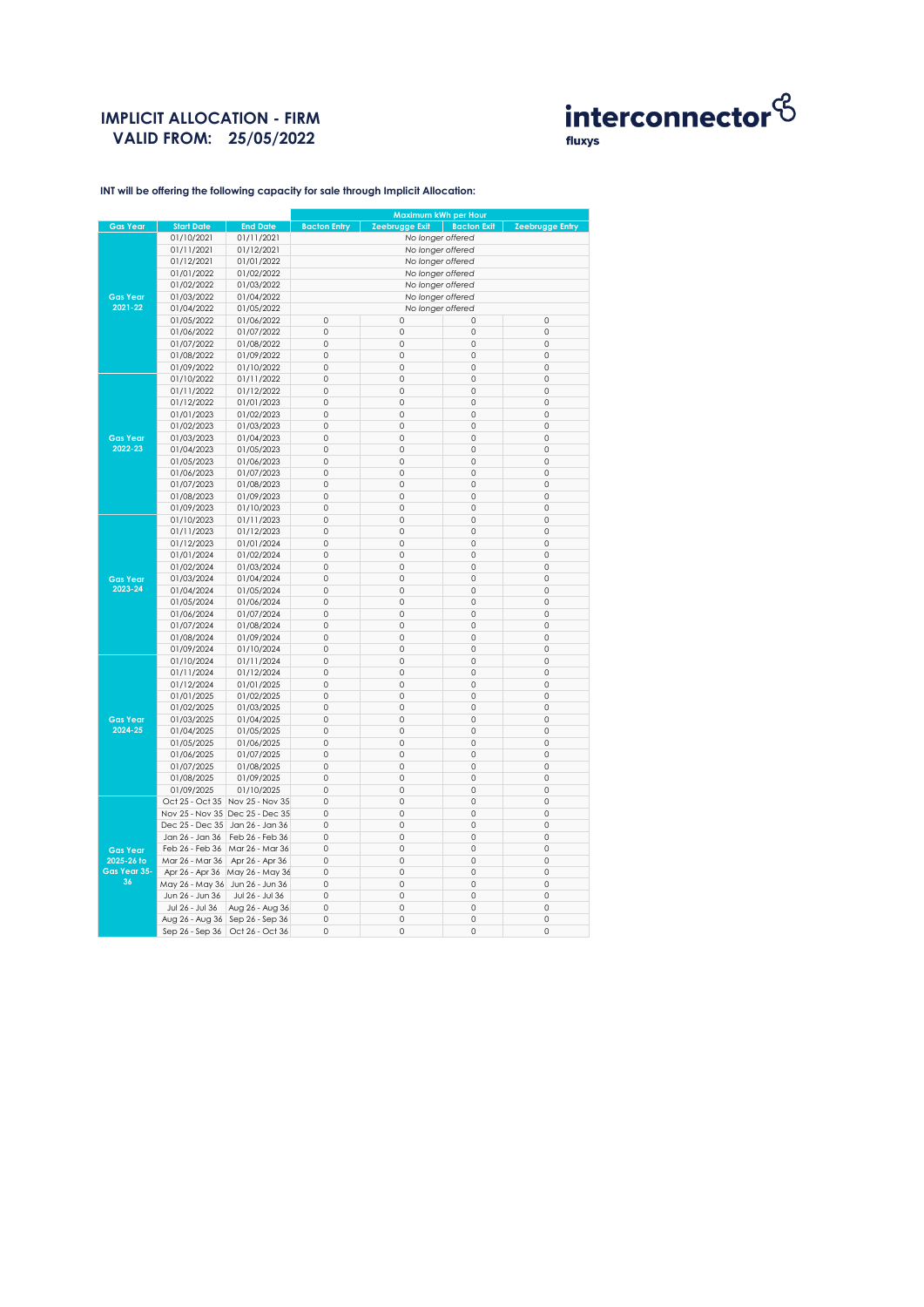## **IMPLICIT ALLOCATION - FIRM VALID FROM: 25/05/2022**



**INT will be offering the following capacity for sale through Implicit Allocation:** 

|                            |                                 |                                 | Maximum kWh per Hour |                   |                    |                 |  |
|----------------------------|---------------------------------|---------------------------------|----------------------|-------------------|--------------------|-----------------|--|
| <b>Gas Year</b>            | <b>Start Date</b>               | <b>End Date</b>                 | <b>Bacton Entry</b>  | Zeebrugge Exit    | <b>Bacton Exit</b> | Zeebrugge Entry |  |
|                            | 01/10/2021                      | 01/11/2021                      |                      | No longer offered |                    |                 |  |
|                            | 01/11/2021                      | 01/12/2021                      | No longer offered    |                   |                    |                 |  |
|                            | 01/12/2021                      | 01/01/2022                      | No longer offered    |                   |                    |                 |  |
|                            | 01/01/2022                      | 01/02/2022                      | No longer offered    |                   |                    |                 |  |
|                            | 01/02/2022                      | 01/03/2022                      | No longer offered    |                   |                    |                 |  |
| <b>Gas Year</b>            | 01/03/2022                      | 01/04/2022                      | No longer offered    |                   |                    |                 |  |
| 2021-22                    | 01/04/2022                      | 01/05/2022                      | No longer offered    |                   |                    |                 |  |
|                            | 01/05/2022                      | 01/06/2022                      | 0                    | 0                 | 0                  | 0               |  |
|                            | 01/06/2022                      | 01/07/2022                      | 0                    | 0                 | 0                  | 0               |  |
|                            | 01/07/2022                      | 01/08/2022                      | 0                    | $\mathbf 0$       | $\circ$            | $\circ$         |  |
|                            | 01/08/2022                      | 01/09/2022                      | 0                    | $\mathbf 0$       | $\mathbf 0$        | $\mathbf 0$     |  |
|                            | 01/09/2022                      | 01/10/2022                      | 0                    | $\mathbf 0$       | 0                  | 0               |  |
|                            | 01/10/2022                      | 01/11/2022                      | 0                    | $\mathbf 0$       | 0                  | 0               |  |
|                            | 01/11/2022                      | 01/12/2022                      | 0                    | 0                 | 0                  | 0               |  |
|                            |                                 |                                 |                      |                   |                    |                 |  |
|                            | 01/12/2022                      | 01/01/2023                      | 0                    | $\mathbf 0$       | $\circ$            | $\circ$         |  |
|                            | 01/01/2023                      | 01/02/2023                      | 0                    | $\mathbf 0$       | $\mathbf 0$        | $\mathbf 0$     |  |
|                            | 01/02/2023                      | 01/03/2023                      | 0                    | $\mathbf 0$       | 0                  | 0               |  |
| <b>Gas Year</b>            | 01/03/2023                      | 01/04/2023                      | 0                    | 0                 | 0                  | 0               |  |
| 2022-23                    | 01/04/2023                      | 01/05/2023                      | 0                    | 0                 | 0                  | 0               |  |
|                            | 01/05/2023                      | 01/06/2023                      | 0                    | $\mathbf 0$       | $\circ$            | $\circ$         |  |
|                            | 01/06/2023                      | 01/07/2023                      | 0                    | $\mathbf 0$       | $\mathbf 0$        | $\mathbf 0$     |  |
|                            | 01/07/2023                      | 01/08/2023                      | 0                    | 0                 | 0                  | 0               |  |
|                            | 01/08/2023                      | 01/09/2023                      | 0                    | 0                 | 0                  | 0               |  |
|                            | 01/09/2023                      | 01/10/2023                      | 0                    | 0                 | 0                  | 0               |  |
| <b>Gas Year</b><br>2023-24 | 01/10/2023                      | 01/11/2023                      | 0                    | $\mathbf 0$       | $\circ$            | $\circ$         |  |
|                            | 01/11/2023                      | 01/12/2023                      | 0                    | $\mathbf 0$       | $\mathbf 0$        | $\mathbf 0$     |  |
|                            | 01/12/2023                      | 01/01/2024                      | 0                    | 0                 | 0                  | 0               |  |
|                            | 01/01/2024                      | 01/02/2024                      | 0                    | 0                 | 0                  | 0               |  |
|                            | 01/02/2024                      | 01/03/2024                      | 0                    | 0                 | 0                  | 0               |  |
|                            | 01/03/2024                      | 01/04/2024                      | 0                    | $\mathbf 0$       | $\circ$            | $\circ$         |  |
|                            | 01/04/2024                      | 01/05/2024                      | 0                    | $\mathbf 0$       | $\mathbf 0$        | 0               |  |
|                            | 01/05/2024                      | 01/06/2024                      | 0                    | 0                 | 0                  | $\circ$         |  |
|                            | 01/06/2024                      | 01/07/2024                      | 0                    | 0                 | 0                  | 0               |  |
|                            | 01/07/2024                      | 01/08/2024                      | 0                    | $\mathbf 0$       | 0                  | 0               |  |
|                            | 01/08/2024                      | 01/09/2024                      | 0                    | $\Omega$          | $\mathbf 0$        | $\mathbf 0$     |  |
|                            | 01/09/2024                      | 01/10/2024                      | 0                    | $\mathbf 0$       | 0                  | 0               |  |
|                            | 01/10/2024                      | 01/11/2024                      | $\circ$              | $\mathbf 0$       | 0                  | 0               |  |
|                            | 01/11/2024                      | 01/12/2024                      | 0                    | $\mathbf 0$       | 0                  | 0               |  |
|                            |                                 |                                 | 0                    | $\mathbf 0$       | 0                  | 0               |  |
|                            | 01/12/2024                      | 01/01/2025                      |                      |                   |                    |                 |  |
|                            | 01/01/2025                      | 01/02/2025                      | 0                    | $\mathbf 0$       | $\mathbf 0$        | $\mathbf 0$     |  |
|                            | 01/02/2025                      | 01/03/2025                      | 0                    | $\mathbf 0$       | 0                  | 0               |  |
| <b>Gas Year</b>            | 01/03/2025                      | 01/04/2025                      | 0                    | 0                 | 0                  | 0               |  |
| 2024-25                    | 01/04/2025                      | 01/05/2025                      | 0                    | $\mathbf 0$       | 0                  | 0               |  |
|                            | 01/05/2025                      | 01/06/2025                      | 0                    | 0                 | 0                  | 0               |  |
|                            | 01/06/2025                      | 01/07/2025                      | 0                    | $\mathbf 0$       | $\circ$            | $\circ$         |  |
|                            | 01/07/2025                      | 01/08/2025                      | 0                    | 0                 | 0                  | 0               |  |
|                            | 01/08/2025                      | 01/09/2025                      | 0                    | 0                 | 0                  | 0               |  |
|                            | 01/09/2025                      | 01/10/2025                      | 0                    | $\mathbf 0$       | 0                  | 0               |  |
|                            | Oct 25 - Oct 35                 | Nov 25 - Nov 35                 | 0                    | 0                 | 0                  | 0               |  |
|                            |                                 | Nov 25 - Nov 35 Dec 25 - Dec 35 | 0                    | $\mathbf 0$       | $\circ$            | $\circ$         |  |
|                            | Dec 25 - Dec 35                 | Jan 26 - Jan 36                 | 0                    | $\mathbf 0$       | $\mathbf 0$        | $\mathbf 0$     |  |
|                            | Jan 26 - Jan 36                 | Feb 26 - Feb 36                 | 0                    | $\mathbf 0$       | 0                  | 0               |  |
| <b>Gas Year</b>            | Feb 26 - Feb 36                 | Mar 26 - Mar 36                 | 0                    | 0                 | 0                  | 0               |  |
| 2025-26 to                 | Mar 26 - Mar 36                 | Apr 26 - Apr 36                 | 0                    | $\mathbf 0$       | $\circ$            | $\mathbf 0$     |  |
| Gas Year 35-               |                                 | Apr 26 - Apr 36 May 26 - May 36 | 0                    | $\mathbf 0$       | $\circ$            | $\circ$         |  |
| 36                         | May 26 - May 36 Jun 26 - Jun 36 |                                 | 0                    | $\mathbf 0$       | $\mathbf 0$        | $\mathbf 0$     |  |
|                            | Jun 26 - Jun 36                 | Jul 26 - Jul 36                 | 0                    | 0                 | 0                  | $\circ$         |  |
|                            | Jul 26 - Jul 36                 | Aug 26 - Aug 36                 | 0                    | 0                 | 0                  | 0               |  |
|                            | Aug 26 - Aug 36                 | Sep 26 - Sep 36                 | 0                    | $\mathbf 0$       | 0                  | 0               |  |
|                            | Sep 26 - Sep 36                 | Oct 26 - Oct 36                 | 0                    | 0                 | 0                  | $\circ$         |  |
|                            |                                 |                                 |                      |                   |                    |                 |  |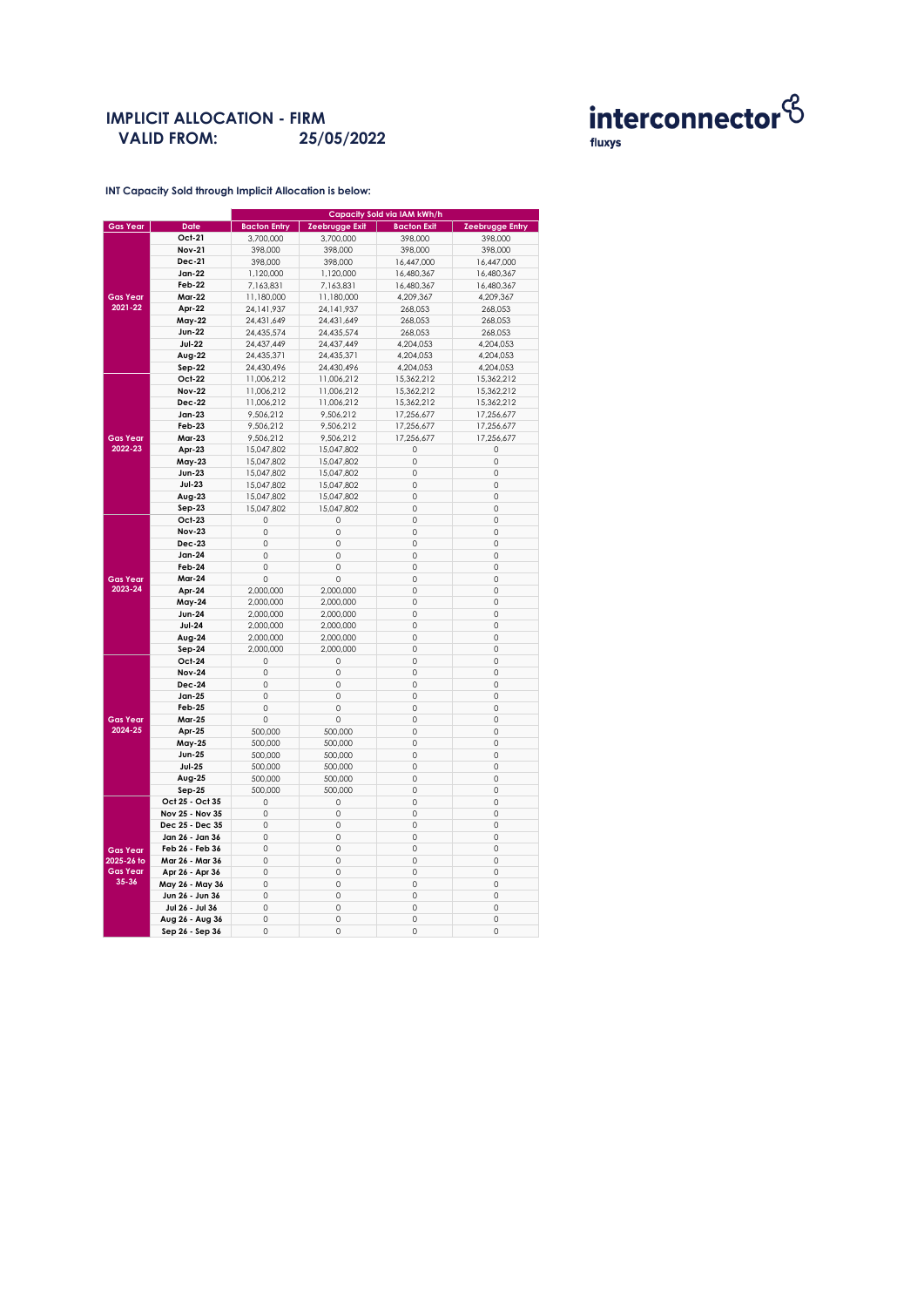#### **IMPLICIT ALLOCATION - FIRM VALID FROM: 25/05/2022**



**INT Capacity Sold through Implicit Allocation is below:** 

|                 |                 | Capacity Sold via IAM kWh/h |                    |                    |                        |  |  |
|-----------------|-----------------|-----------------------------|--------------------|--------------------|------------------------|--|--|
| <b>Gas Year</b> | Date            | <b>Bacton Entry</b>         | Zeebrugge Exit     | <b>Bacton Exit</b> | <b>Zeebrugge Entry</b> |  |  |
|                 | Oct-21          | 3,700,000                   | 3,700,000          | 398,000            | 398,000                |  |  |
|                 | <b>Nov-21</b>   | 398,000                     | 398,000            | 398,000            | 398,000                |  |  |
|                 | <b>Dec-21</b>   | 398,000                     | 398,000            | 16,447,000         | 16,447,000             |  |  |
|                 | Jan-22          | 1,120,000                   | 1,120,000          | 16,480,367         | 16,480,367             |  |  |
|                 | Feb-22          | 7,163,831                   | 7,163,831          | 16,480,367         | 16,480,367             |  |  |
| <b>Gas Year</b> | <b>Mar-22</b>   | 11,180,000                  | 11,180,000         | 4,209,367          | 4,209,367              |  |  |
| 2021-22         | Apr-22          | 24, 141, 937                | 24, 141, 937       | 268,053            | 268,053                |  |  |
|                 | May-22          | 24,431,649                  | 24,431,649         | 268,053            | 268,053                |  |  |
|                 | <b>Jun-22</b>   | 24,435,574                  | 24,435,574         | 268,053            | 268,053                |  |  |
|                 | <b>Jul-22</b>   | 24,437,449                  | 24,437,449         | 4,204,053          | 4,204,053              |  |  |
|                 | Aug-22          | 24,435,371                  | 24,435,371         | 4,204,053          | 4,204,053              |  |  |
|                 |                 |                             |                    |                    |                        |  |  |
|                 | Sep-22          | 24,430,496                  | 24,430,496         | 4,204,053          | 4,204,053              |  |  |
|                 | Oct-22          | 11,006,212                  | 11,006,212         | 15,362,212         | 15,362,212             |  |  |
|                 | <b>Nov-22</b>   | 11,006,212                  | 11,006,212         | 15,362,212         | 15,362,212             |  |  |
|                 | Dec-22          | 11,006,212                  | 11,006,212         | 15,362,212         | 15,362,212             |  |  |
|                 | Jan-23          | 9,506,212                   | 9,506,212          | 17,256,677         | 17,256,677             |  |  |
|                 | Feb-23          | 9.506.212                   | 9.506.212          | 17.256.677         | 17.256.677             |  |  |
| <b>Gas Year</b> | Mar-23          | 9,506,212                   | 9,506,212          | 17,256,677         | 17,256,677             |  |  |
| 2022-23         | Apr-23          | 15,047,802                  | 15,047,802         | 0                  | 0                      |  |  |
|                 | May-23          | 15,047,802                  | 15,047,802         | 0                  | 0                      |  |  |
|                 | <b>Jun-23</b>   | 15,047,802                  | 15,047,802         | $\mathbf 0$        | $\circ$                |  |  |
|                 | Jul-23          | 15,047,802                  | 15,047,802         | $\mathbf 0$        | 0                      |  |  |
|                 | $Avg-23$        | 15,047,802                  | 15,047,802         | $\mathbf 0$        | 0                      |  |  |
|                 | Sep-23          | 15,047,802                  | 15,047,802         | 0                  | 0                      |  |  |
|                 | Oct-23          | 0                           | 0                  | 0                  | 0                      |  |  |
|                 | <b>Nov-23</b>   | 0                           | 0                  | 0                  | 0                      |  |  |
|                 | <b>Dec-23</b>   | 0                           | $\circ$            | $\mathbf 0$        | $\circ$                |  |  |
|                 | Jan-24          | 0                           | 0                  | $\mathbf 0$        | $\circ$                |  |  |
|                 | Feb-24          | $\circ$                     | $\circ$            | $\mathbf 0$        | $\circ$                |  |  |
| <b>Gas Year</b> | <b>Mar-24</b>   | 0                           | 0                  | $\mathbf 0$        | 0                      |  |  |
| 2023-24         | Apr-24          | 2,000,000                   | 2,000,000          | 0                  | 0                      |  |  |
|                 | May-24          | 2,000,000                   | 2,000,000          | 0                  | 0                      |  |  |
|                 | <b>Jun-24</b>   | 2,000,000                   | 2,000,000          | $\mathbf 0$        | $\circ$                |  |  |
|                 | <b>Jul-24</b>   | 2,000,000                   | 2,000,000          | $\mathbf 0$        | $\circ$                |  |  |
|                 | Aug-24          | 2,000,000                   | 2,000,000          | $\mathbf 0$        | $\circ$                |  |  |
|                 | $Sep-24$        | 2,000,000                   | 2,000,000          | 0                  | 0                      |  |  |
|                 | Oct-24          | 0                           | 0                  | 0                  | 0                      |  |  |
|                 | <b>Nov-24</b>   | 0                           | 0                  | 0                  | 0                      |  |  |
|                 | <b>Dec-24</b>   | 0                           | 0                  | $\mathbf 0$        | 0                      |  |  |
|                 | Jan-25          | 0                           | 0                  | $\mathbf 0$        | 0                      |  |  |
|                 | $Feb-25$        | $\circ$                     | $\circ$            | $\mathbf 0$        | $\circ$                |  |  |
| <b>Gas Year</b> | <b>Mar-25</b>   | 0                           | 0                  | 0                  | 0                      |  |  |
| 2024-25         | Apr-25          | 500,000                     | 500,000            | 0                  | 0                      |  |  |
|                 | May-25          | 500,000                     | 500,000            | 0                  | 0                      |  |  |
|                 | <b>Jun-25</b>   |                             |                    | 0                  | 0                      |  |  |
|                 | <b>Jul-25</b>   | 500,000<br>500,000          | 500,000<br>500,000 | $\mathbf 0$        | $\circ$                |  |  |
|                 |                 |                             |                    | $\mathbf 0$        | $\mathbf 0$            |  |  |
|                 | Aug-25          | 500,000                     | 500,000            |                    |                        |  |  |
|                 | $Sep-25$        | 500,000                     | 500,000            | $\mathbf 0$        | $\circ$                |  |  |
|                 | Oct 25 - Oct 35 | 0                           | 0                  | $\circ$            | 0                      |  |  |
|                 | Nov 25 - Nov 35 | 0                           | 0                  | 0                  | 0                      |  |  |
| <b>Gas Year</b> | Dec 25 - Dec 35 | 0                           | 0                  | 0                  | 0                      |  |  |
|                 | Jan 26 - Jan 36 | $\circ$                     | 0                  | $\mathbf 0$        | $\circ$                |  |  |
|                 | Feb 26 - Feb 36 | 0                           | $\circ$            | $\mathbf 0$        | $\circ$                |  |  |
| 2025-26 to      | Mar 26 - Mar 36 | $\circ$                     | $\circ$            | $\mathbf 0$        | 0                      |  |  |
| <b>Gas Year</b> | Apr 26 - Apr 36 | 0                           | 0                  | 0                  | 0                      |  |  |
| 35-36           | May 26 - May 36 | 0                           | 0                  | 0                  | 0                      |  |  |
|                 | Jun 26 - Jun 36 | 0                           | 0                  | 0                  | 0                      |  |  |
|                 | Jul 26 - Jul 36 | 0                           | 0                  | 0                  | 0                      |  |  |
|                 | Aug 26 - Aug 36 | 0                           | 0                  | $\circ$            | $\circ$                |  |  |
|                 | Sep 26 - Sep 36 | 0                           | 0                  | $\mathbf 0$        | O                      |  |  |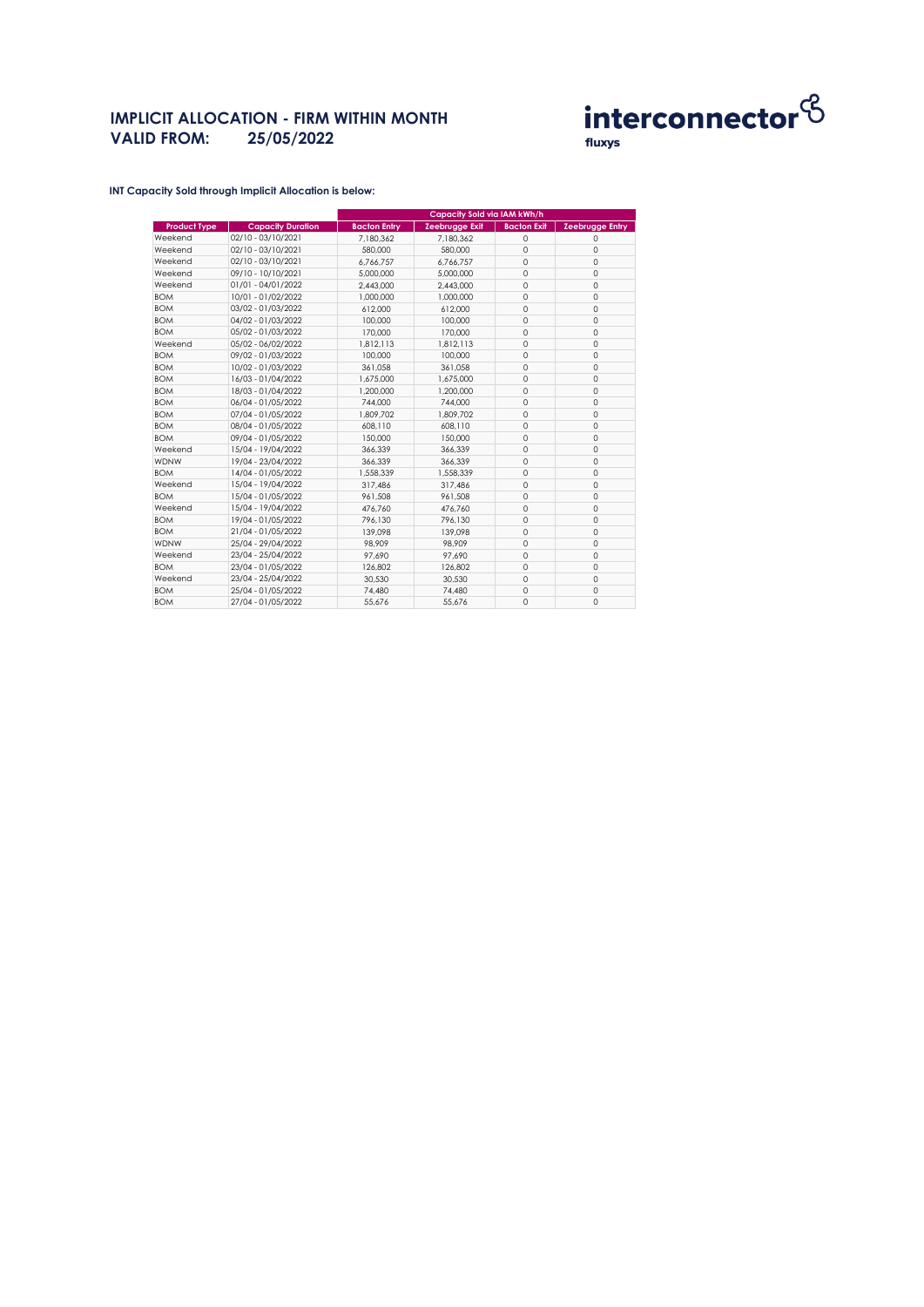# **IMPLICIT ALLOCATION - FIRM WITHIN MONTH VALID FROM: 25/05/2022**



**INT Capacity Sold through Implicit Allocation is below:** 

|                     |                          | Capacity Sold via IAM kWh/h |                       |                    |                        |
|---------------------|--------------------------|-----------------------------|-----------------------|--------------------|------------------------|
| <b>Product Type</b> | <b>Capacity Duration</b> | <b>Bacton Entry</b>         | <b>Zeebrugge Exit</b> | <b>Bacton Exit</b> | <b>Zeebrugge Entry</b> |
| Weekend             | 02/10 - 03/10/2021       | 7.180.362                   | 7.180.362             | $\circ$            | 0                      |
| Weekend             | 02/10 - 03/10/2021       | 580,000                     | 580,000               | $\circ$            | $\mathbf 0$            |
| Weekend             | 02/10 - 03/10/2021       | 6,766,757                   | 6,766,757             | $\circ$            | $\mathbf 0$            |
| Weekend             | 09/10 - 10/10/2021       | 5,000,000                   | 5,000,000             | 0                  | $\mathbf 0$            |
| Weekend             | 01/01 - 04/01/2022       | 2,443,000                   | 2.443.000             | $\circ$            | 0                      |
| <b>BOM</b>          | 10/01 - 01/02/2022       | 1.000.000                   | 1,000,000             | $\circ$            | $\mathbf 0$            |
| <b>BOM</b>          | 03/02 - 01/03/2022       | 612.000                     | 612.000               | 0                  | $\mathbf 0$            |
| <b>BOM</b>          | 04/02 - 01/03/2022       | 100,000                     | 100,000               | $\mathbf 0$        | $\mathbf 0$            |
| <b>BOM</b>          | 05/02 - 01/03/2022       | 170,000                     | 170,000               | 0                  | $\mathbf 0$            |
| Weekend             | 05/02 - 06/02/2022       | 1.812.113                   | 1.812.113             | $\circ$            | 0                      |
| <b>BOM</b>          | 09/02 - 01/03/2022       | 100,000                     | 100,000               | $\mathbf 0$        | 0                      |
| <b>BOM</b>          | 10/02 - 01/03/2022       | 361,058                     | 361.058               | 0                  | $\mathbf 0$            |
| <b>BOM</b>          | 16/03 - 01/04/2022       | 1,675,000                   | 1,675,000             | $\circ$            | $\mathbf 0$            |
| <b>BOM</b>          | 18/03 - 01/04/2022       | 1,200,000                   | 1,200,000             | 0                  | $\mathbf 0$            |
| <b>BOM</b>          | 06/04 - 01/05/2022       | 744.000                     | 744.000               | $\circ$            | $\mathbf 0$            |
| <b>BOM</b>          | 07/04 - 01/05/2022       | 1,809,702                   | 1,809,702             | $\circ$            | $\mathbf 0$            |
| <b>BOM</b>          | 08/04 - 01/05/2022       | 608.110                     | 608,110               | 0                  | $\mathbf 0$            |
| <b>BOM</b>          | 09/04 - 01/05/2022       | 150,000                     | 150,000               | $\circ$            | $\mathbf 0$            |
| Weekend             | 15/04 - 19/04/2022       | 366.339                     | 366.339               | 0                  | $\mathbf 0$            |
| <b>WDNW</b>         | 19/04 - 23/04/2022       | 366.339                     | 366.339               | $\mathbf 0$        | $\mathbf 0$            |
| <b>BOM</b>          | 14/04 - 01/05/2022       | 1,558,339                   | 1,558,339             | $\mathbf 0$        | $\mathbf 0$            |
| Weekend             | 15/04 - 19/04/2022       | 317,486                     | 317,486               | 0                  | $\mathbf 0$            |
| <b>BOM</b>          | 15/04 - 01/05/2022       | 961.508                     | 961.508               | $\circ$            | $\mathbf 0$            |
| Weekend             | 15/04 - 19/04/2022       | 476.760                     | 476.760               | $\circ$            | $\mathbf 0$            |
| <b>BOM</b>          | 19/04 - 01/05/2022       | 796,130                     | 796,130               | $\circ$            | $\mathbf 0$            |
| <b>BOM</b>          | 21/04 - 01/05/2022       | 139.098                     | 139.098               | $\circ$            | $\mathbf 0$            |
| <b>WDNW</b>         | 25/04 - 29/04/2022       | 98.909                      | 98.909                | 0                  | $\mathbf 0$            |
| Weekend             | 23/04 - 25/04/2022       | 97.690                      | 97.690                | 0                  | $\mathbf 0$            |
| <b>BOM</b>          | 23/04 - 01/05/2022       | 126,802                     | 126,802               | 0                  | $\mathbf 0$            |
| Weekend             | 23/04 - 25/04/2022       | 30,530                      | 30,530                | $\circ$            | 0                      |
| <b>BOM</b>          | 25/04 - 01/05/2022       | 74,480                      | 74,480                | 0                  | $\mathbf 0$            |
| <b>BOM</b>          | 27/04 - 01/05/2022       | 55.676                      | 55.676                | $\Omega$           | $\mathbf 0$            |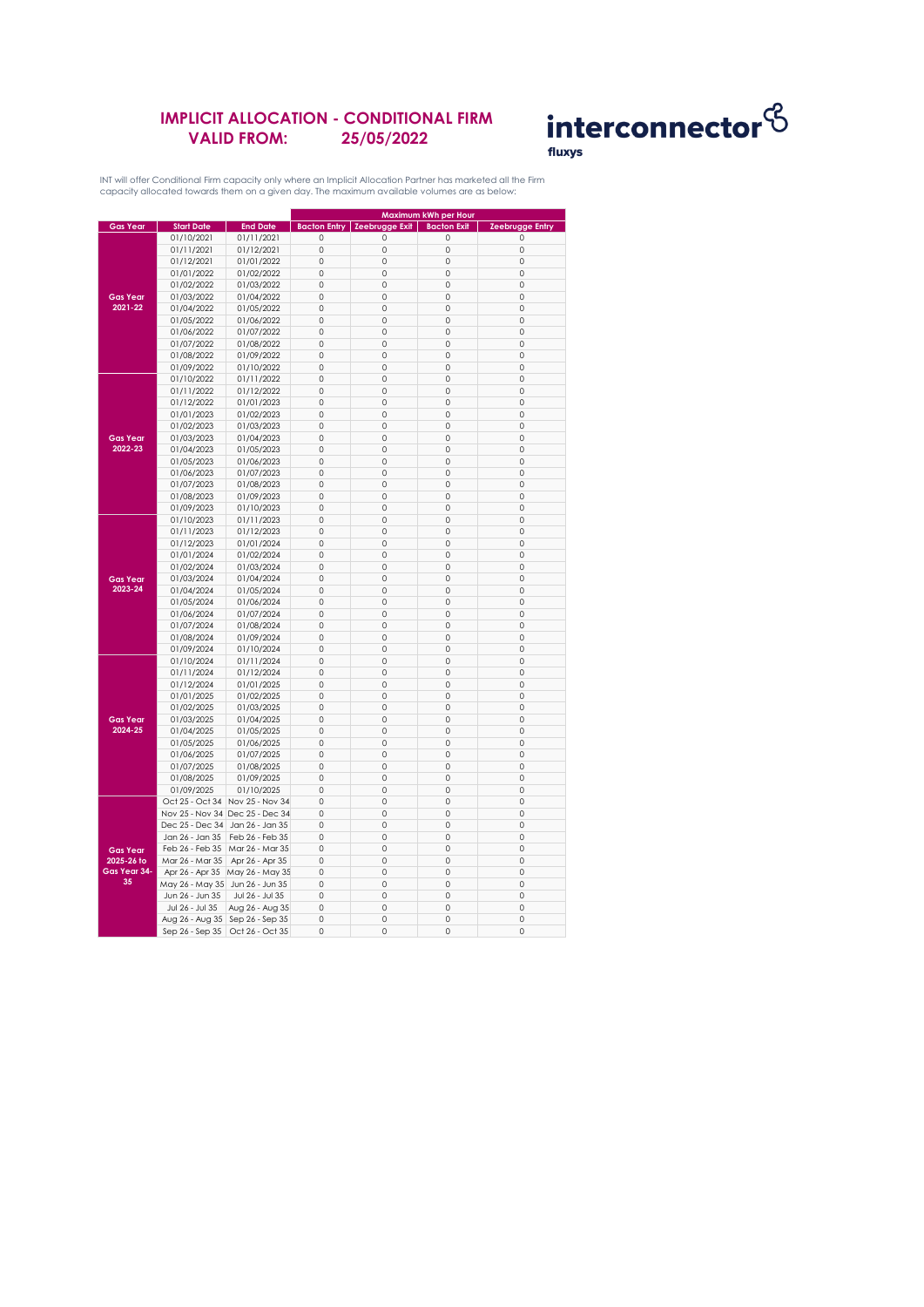### **IMPLICIT ALLOCATION - CONDITIONAL FIRM VALID FROM: 25/05/2022**



INT will offer Conditional Firm capacity only where an Implicit Allocation Partner has marketed all the Firm capacity allocated towards them on a given day. The maximum available volumes are as below:

|                               |                                 |                                 |                     |                                        | Maximum kWh per Hour |                        |
|-------------------------------|---------------------------------|---------------------------------|---------------------|----------------------------------------|----------------------|------------------------|
| <b>Gas Year</b>               | <b>Start Date</b>               | <b>End Date</b>                 |                     | <b>Bacton Entry   Zeebrugge Exit  </b> | <b>Bacton Exit</b>   | <b>Zeebrugge Entry</b> |
|                               | 01/10/2021                      | 01/11/2021                      | $\mathbf 0$         | 0                                      | $\circ$              | 0                      |
|                               | 01/11/2021                      | 01/12/2021                      | $\circ$             | 0                                      | 0                    | 0                      |
|                               |                                 |                                 | $\mathsf{O}\xspace$ | 0                                      | 0                    | 0                      |
|                               | 01/12/2021                      | 01/01/2022                      |                     |                                        |                      |                        |
|                               | 01/01/2022                      | 01/02/2022                      | $\mathbf 0$         | 0                                      | 0                    | $\circ$                |
|                               | 01/02/2022                      | 01/03/2022                      | $\circ$             | 0                                      | $\circ$              | 0                      |
| <b>Gas Year</b><br>2021-22    | 01/03/2022                      | 01/04/2022                      | $\mathbf 0$         | $\mathbb O$                            | 0                    | $\mathbf 0$            |
|                               | 01/04/2022                      | 01/05/2022                      | $\Omega$            | $\Omega$                               | $\Omega$             | $\Omega$               |
|                               | 01/05/2022                      | 01/06/2022                      | $\circ$             | $\mathbf 0$                            | $\circ$              | $\mathbf 0$            |
|                               | 01/06/2022                      | 01/07/2022                      | $\mathbf 0$         | 0                                      | 0                    | $\mathbf 0$            |
|                               | 01/07/2022                      | 01/08/2022                      | 0                   | 0                                      | 0                    | 0                      |
|                               | 01/08/2022                      | 01/09/2022                      | $\mathsf{O}\xspace$ | 0                                      | 0                    | $\mathbb O$            |
|                               | 01/09/2022                      | 01/10/2022                      | $\circ$             | 0                                      | $\circ$              | $\mathbf 0$            |
|                               | 01/10/2022                      | 01/11/2022                      | $\circ$             | $\mathbb O$                            | 0                    | $\mathbb O$            |
|                               | 01/11/2022                      | 01/12/2022                      | $\Omega$            | $\mathbf 0$                            | $\Omega$             | $\Omega$               |
|                               |                                 |                                 |                     |                                        |                      |                        |
|                               | 01/12/2022                      | 01/01/2023                      | $\circ$             | 0                                      | 0                    | 0                      |
|                               | 01/01/2023                      | 01/02/2023                      | $\mathsf{O}\xspace$ | 0                                      | 0                    | $\mathbf 0$            |
|                               | 01/02/2023                      | 01/03/2023                      | $\circ$             | 0                                      | $\circ$              | $\mathbf 0$            |
| <b>Gas Year</b>               | 01/03/2023                      | 01/04/2023                      | 0                   | 0                                      | 0                    | $\circ$                |
| 2022-23                       | 01/04/2023                      | 01/05/2023                      | 0                   | 0                                      | 0                    | 0                      |
|                               | 01/05/2023                      | 01/06/2023                      | 0                   | $\mathbb O$                            | 0                    | $\mathbb O$            |
|                               | 01/06/2023                      | 01/07/2023                      | $\mathbf 0$         | $\mathbf 0$                            | $\circ$              | $\mathbf 0$            |
|                               | 01/07/2023                      | 01/08/2023                      | $\circ$             | $\circ$                                | 0                    | $\mathbf{0}$           |
|                               | 01/08/2023                      | 01/09/2023                      | $\mathbf 0$         | 0                                      | 0                    | $\circ$                |
|                               | 01/09/2023                      | 01/10/2023                      | $\circ$             | $\mathbf 0$                            | 0                    | 0                      |
|                               | 01/10/2023                      | 01/11/2023                      | $\circ$             | $\mathbf 0$                            | 0                    | $\mathbf 0$            |
|                               | 01/11/2023                      | 01/12/2023                      | 0                   | 0                                      | 0                    | $\circ$                |
|                               |                                 |                                 | $\mathbf 0$         | 0                                      | 0                    | $\mathbf 0$            |
|                               | 01/12/2023                      | 01/01/2024                      |                     |                                        |                      |                        |
|                               | 01/01/2024                      | 01/02/2024                      | $\circ$             | $\mathbf 0$                            | $\circ$              | $\mathbf 0$            |
|                               | 01/02/2024                      | 01/03/2024                      | $\mathbf 0$         | $\mathbf 0$                            | $\circ$              | $\mathbf 0$            |
| <b>Gas Year</b>               | 01/03/2024                      | 01/04/2024                      | $\mathsf{O}\xspace$ | 0                                      | 0                    | 0                      |
| 2023-24                       | 01/04/2024                      | 01/05/2024                      | $\mathbf 0$         | $\mathbf 0$                            | $\circ$              | $\mathbf 0$            |
|                               | 01/05/2024                      | 01/06/2024                      | $\circ$             | 0                                      | 0                    | 0                      |
|                               | 01/06/2024                      | 01/07/2024                      | 0                   | 0                                      | 0                    | 0                      |
|                               | 01/07/2024                      | 01/08/2024                      | $\mathsf{O}\xspace$ | 0                                      | 0                    | $\mathbf 0$            |
|                               | 01/08/2024                      | 01/09/2024                      | $\circ$             | 0                                      | $\circ$              | $\mathbf 0$            |
|                               | 01/09/2024                      | 01/10/2024                      | $\mathbf 0$         | $\mathbb O$                            | 0                    | $\mathbf 0$            |
|                               | 01/10/2024                      | 01/11/2024                      | $\Omega$            | $\mathbf 0$                            | $\Omega$             | $\Omega$               |
|                               | 01/11/2024                      | 01/12/2024                      | $\circ$             | $\mathbf 0$                            | 0                    | $\mathbf 0$            |
|                               | 01/12/2024                      | 01/01/2025                      | $\mathbf 0$         | 0                                      | 0                    | $\mathbf 0$            |
|                               | 01/01/2025                      | 01/02/2025                      | $\circ$             | 0                                      | $\circ$              | $\mathbf 0$            |
|                               |                                 |                                 | $\mathsf{O}\xspace$ | 0                                      | 0                    | $\circ$                |
|                               | 01/02/2025                      | 01/03/2025                      | $\mathbf 0$         |                                        |                      | $\mathbf 0$            |
| <b>Gas Year</b>               | 01/03/2025                      | 01/04/2025                      |                     | 0                                      | 0                    |                        |
| 2024-25                       | 01/04/2025                      | 01/05/2025                      | $\circ$             | $\mathbb O$                            | $\mathbb O$          | $\mathbb O$            |
|                               | 01/05/2025                      | 01/06/2025                      | $\mathbf 0$         | $\mathbf 0$                            | $\circ$              | $\mathbf 0$            |
|                               | 01/06/2025                      | 01/07/2025                      | $\circ$             | $\mathbf 0$                            | 0                    | $\mathbf{0}$           |
|                               | 01/07/2025                      | 01/08/2025                      | $\mathbf 0$         | 0                                      | 0                    | $\circ$                |
|                               | 01/08/2025                      | 01/09/2025                      | $\circ$             | $\mathbf 0$                            | 0                    | 0                      |
|                               | 01/09/2025                      | 01/10/2025                      | $\mathbf 0$         | $\mathbf 0$                            | $\circ$              | $\mathbf 0$            |
|                               | Oct 25 - Oct 34                 | Nov 25 - Nov 34                 | 0                   | 0                                      | 0                    | 0                      |
|                               |                                 | Nov 25 - Nov 34 Dec 25 - Dec 34 | $\mathbf 0$         | 0                                      | 0                    | $\mathbf 0$            |
|                               | Dec 25 - Dec 34                 | Jan 26 - Jan 35                 | $\mathbf 0$         | $\mathbf 0$                            | 0                    | $\mathbf 0$            |
|                               | Jan 26 - Jan 35                 | Feb 26 - Feb 35                 | $\mathbf 0$         | $\mathbf 0$                            | 0                    | $\mathbf 0$            |
| <b>Gas Year</b><br>2025-26 to | Feb 26 - Feb 35                 | Mar 26 - Mar 35                 | $\mathsf{O}\xspace$ | 0                                      | 0                    | $\circ$                |
|                               | Mar 26 - Mar 35                 | Apr 26 - Apr 35                 | $\circ$             | 0                                      | 0                    | 0                      |
| Gas Year 34-                  |                                 |                                 |                     |                                        |                      |                        |
| 35                            | Apr 26 - Apr 35                 | May 26 - May 35                 | $\circ$             | 0                                      | 0                    | 0                      |
|                               | May 26 - May 35 Jun 26 - Jun 35 |                                 | 0                   | 0                                      | 0                    | 0                      |
|                               | Jun 26 - Jun 35                 | Jul 26 - Jul 35                 | 0                   | 0                                      | 0                    | $\mathbf 0$            |
|                               | Jul 26 - Jul 35                 | Aug 26 - Aug 35                 | $\circ$             | $\mathbf 0$                            | 0                    | 0                      |
|                               | Aug 26 - Aug 35                 | Sep 26 - Sep 35                 | $\mathbf 0$         | 0                                      | 0                    | $\mathbf 0$            |
|                               | Sep 26 - Sep 35                 | Oct 26 - Oct 35                 | $\circ$             | 0                                      | 0                    | 0                      |